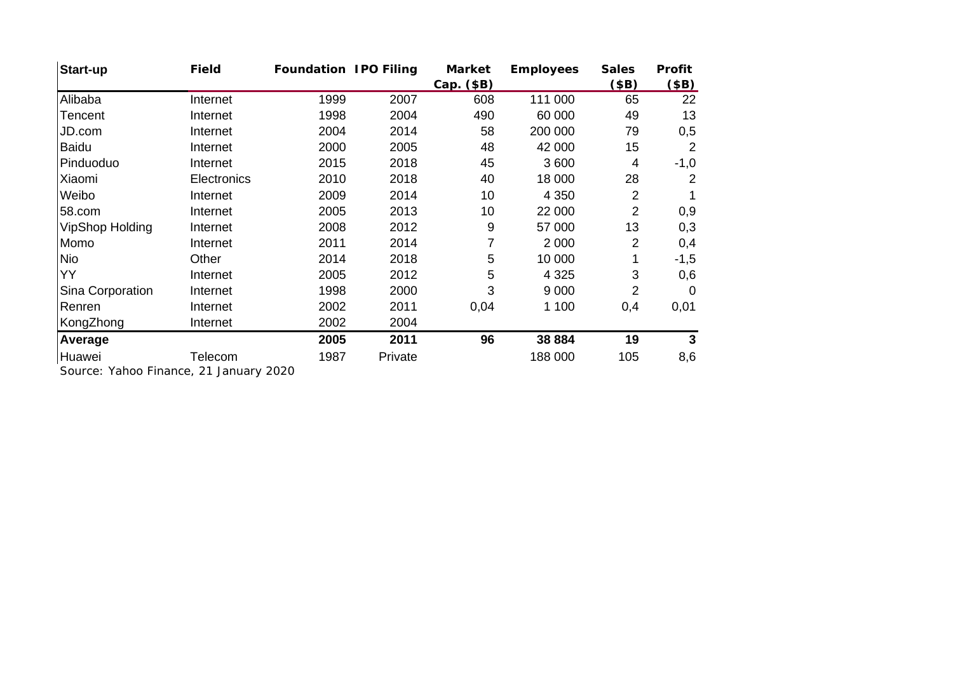| <b>Start-up</b>        | <b>Field</b> | <b>Foundation IPO Filing</b> |         | <b>Market</b> | <b>Employees</b> | <b>Sales</b> | <b>Profit</b>  |
|------------------------|--------------|------------------------------|---------|---------------|------------------|--------------|----------------|
|                        |              |                              |         | Cap. (\$B)    |                  | (\$B)        | \$B)           |
| Alibaba                | Internet     | 1999                         | 2007    | 608           | 111 000          | 65           | 22             |
| Tencent                | Internet     | 1998                         | 2004    | 490           | 60 000           | 49           | 13             |
| JD.com                 | Internet     | 2004                         | 2014    | 58            | 200 000          | 79           | 0,5            |
| <b>Baidu</b>           | Internet     | 2000                         | 2005    | 48            | 42 000           | 15           | 2              |
| Pinduoduo              | Internet     | 2015                         | 2018    | 45            | 3 600            | 4            | $-1,0$         |
| Xiaomi                 | Electronics  | 2010                         | 2018    | 40            | 18 000           | 28           | 2              |
| Weibo                  | Internet     | 2009                         | 2014    | 10            | 4 3 5 0          | 2            |                |
| 58.com                 | Internet     | 2005                         | 2013    | 10            | 22 000           | 2            | 0,9            |
| <b>VipShop Holding</b> | Internet     | 2008                         | 2012    | 9             | 57 000           | 13           | 0,3            |
| Momo                   | Internet     | 2011                         | 2014    | 7             | 2 0 0 0          | 2            | 0,4            |
| <b>Nio</b>             | Other        | 2014                         | 2018    | 5             | 10 000           |              | $-1,5$         |
| YY                     | Internet     | 2005                         | 2012    | 5             | 4 3 2 5          | 3            | 0,6            |
| Sina Corporation       | Internet     | 1998                         | 2000    | 3             | 9 0 0 0          | 2            | $\overline{0}$ |
| Renren                 | Internet     | 2002                         | 2011    | 0,04          | 1 100            | 0,4          | 0,01           |
| KongZhong              | Internet     | 2002                         | 2004    |               |                  |              |                |
| Average                |              | 2005                         | 2011    | 96            | 38 884           | 19           | 3              |
| Huawei                 | Telecom      | 1987                         | Private |               | 188 000          | 105          | 8,6            |

Source: Yahoo Finance, 21 January 2020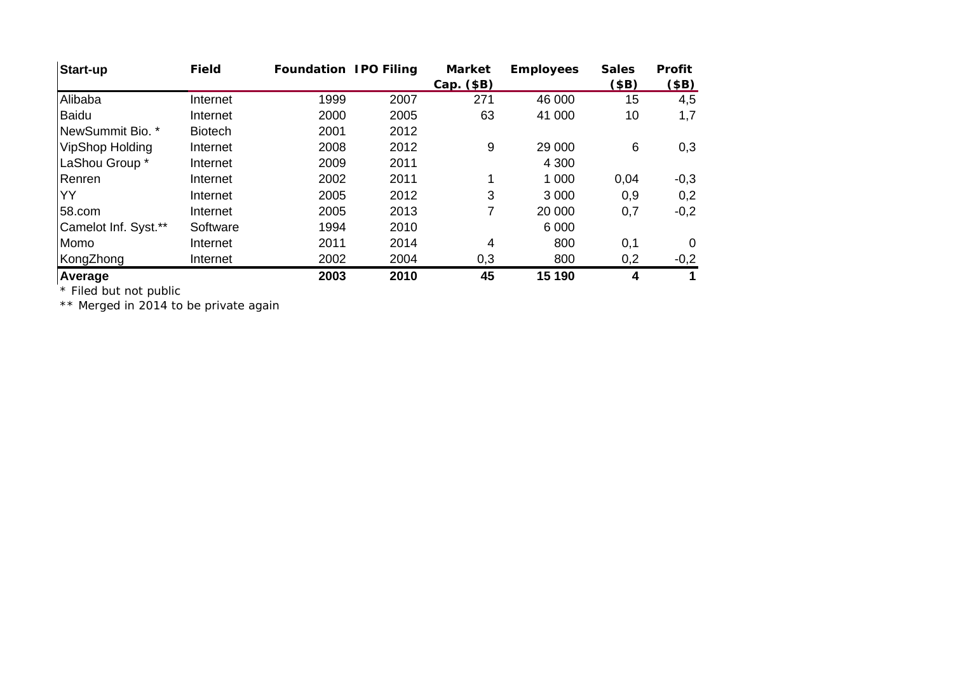| <b>Start-up</b>        | <b>Field</b>   | <b>Foundation IPO Filing</b> |      | <b>Market</b><br>Cap. (\$B) | <b>Employees</b> | <b>Sales</b><br>(\$B) | <b>Profit</b><br>$$\left( $B\right) $$ |
|------------------------|----------------|------------------------------|------|-----------------------------|------------------|-----------------------|----------------------------------------|
| Alibaba                | Internet       | 1999                         | 2007 | 271                         | 46 000           | 15                    | 4,5                                    |
| <b>Baidu</b>           | Internet       | 2000                         | 2005 | 63                          | 41 000           | 10                    | 1,7                                    |
| NewSummit Bio. *       | <b>Biotech</b> | 2001                         | 2012 |                             |                  |                       |                                        |
| <b>VipShop Holding</b> | Internet       | 2008                         | 2012 | 9                           | 29 000           | 6                     | 0,3                                    |
| LaShou Group *         | Internet       | 2009                         | 2011 |                             | 4 3 0 0          |                       |                                        |
| Renren                 | Internet       | 2002                         | 2011 | 1                           | 1 0 0 0          | 0,04                  | $-0,3$                                 |
| YY                     | Internet       | 2005                         | 2012 | 3                           | 3 0 0 0          | 0,9                   | 0,2                                    |
| 58.com                 | Internet       | 2005                         | 2013 | 7                           | 20 000           | 0,7                   | $-0,2$                                 |
| Camelot Inf. Syst.**   | Software       | 1994                         | 2010 |                             | 6 0 0 0          |                       |                                        |
| Momo                   | Internet       | 2011                         | 2014 | 4                           | 800              | 0,1                   | $\Omega$                               |
| KongZhong              | Internet       | 2002                         | 2004 | 0,3                         | 800              | 0,2                   | $-0,2$                                 |
| Average                |                | 2003                         | 2010 | 45                          | 15 190           | 4                     |                                        |

\* Filed but not public

\*\* Merged in 2014 to be private again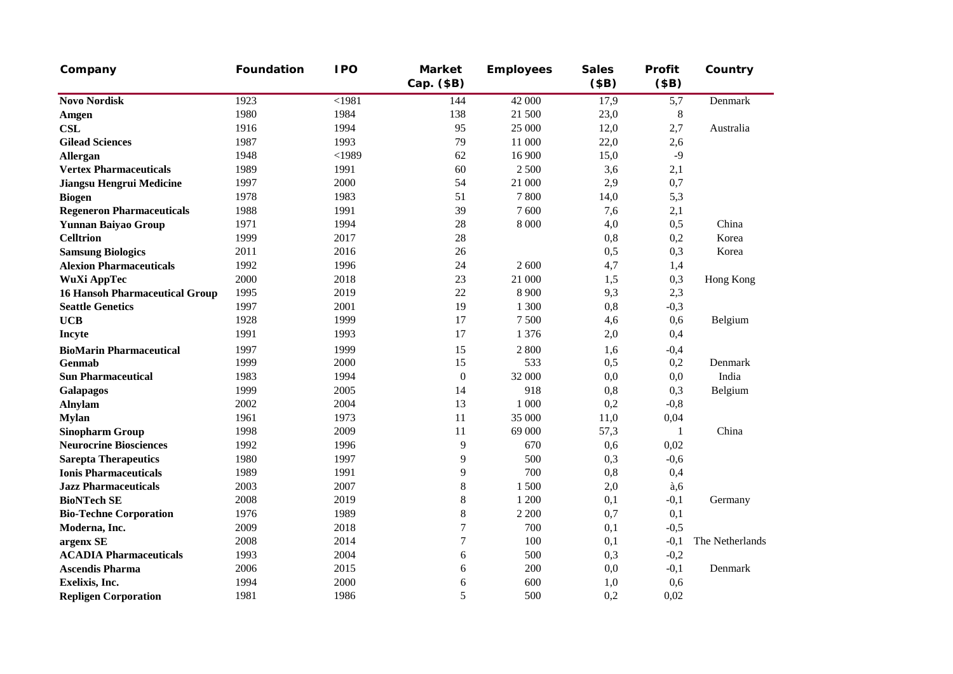| Company                               | <b>Foundation</b> | <b>IPO</b> | <b>Market</b><br>Cap. (\$B) | <b>Employees</b> | <b>Sales</b><br>\$B) | Profit<br>\$B) | Country         |
|---------------------------------------|-------------------|------------|-----------------------------|------------------|----------------------|----------------|-----------------|
| <b>Novo Nordisk</b>                   | 1923              | $<$ 1981   | 144                         | 42 000           | 17,9                 | 5,7            | Denmark         |
| Amgen                                 | 1980              | 1984       | 138                         | 21 500           | 23,0                 | $\,8\,$        |                 |
| <b>CSL</b>                            | 1916              | 1994       | 95                          | 25 000           | 12,0                 | 2,7            | Australia       |
| <b>Gilead Sciences</b>                | 1987              | 1993       | 79                          | 11 000           | 22,0                 | 2,6            |                 |
| Allergan                              | 1948              | $<$ 1989   | 62                          | 16 900           | 15,0                 | $-9$           |                 |
| <b>Vertex Pharmaceuticals</b>         | 1989              | 1991       | 60                          | 2 500            | 3,6                  | 2,1            |                 |
| <b>Jiangsu Hengrui Medicine</b>       | 1997              | 2000       | 54                          | 21 000           | 2,9                  | 0,7            |                 |
| <b>Biogen</b>                         | 1978              | 1983       | 51                          | 7800             | 14,0                 | 5,3            |                 |
| <b>Regeneron Pharmaceuticals</b>      | 1988              | 1991       | 39                          | 7600             | 7,6                  | 2,1            |                 |
| <b>Yunnan Baiyao Group</b>            | 1971              | 1994       | 28                          | 8 0 0 0          | 4,0                  | 0,5            | China           |
| <b>Celltrion</b>                      | 1999              | 2017       | 28                          |                  | 0,8                  | 0,2            | Korea           |
| <b>Samsung Biologics</b>              | 2011              | 2016       | 26                          |                  | 0,5                  | 0,3            | Korea           |
| <b>Alexion Pharmaceuticals</b>        | 1992              | 1996       | 24                          | 2 600            | 4,7                  | 1,4            |                 |
| WuXi AppTec                           | 2000              | 2018       | 23                          | 21 000           | 1,5                  | 0,3            | Hong Kong       |
| <b>16 Hansoh Pharmaceutical Group</b> | 1995              | 2019       | 22                          | 8 9 0 0          | 9,3                  | 2,3            |                 |
| <b>Seattle Genetics</b>               | 1997              | 2001       | 19                          | 1 300            | 0,8                  | $-0,3$         |                 |
| <b>UCB</b>                            | 1928              | 1999       | 17                          | 7 500            | 4,6                  | 0,6            | Belgium         |
| Incyte                                | 1991              | 1993       | 17                          | 1 3 7 6          | 2,0                  | 0,4            |                 |
| <b>BioMarin Pharmaceutical</b>        | 1997              | 1999       | 15                          | 2 800            | 1,6                  | $-0,4$         |                 |
| Genmab                                | 1999              | 2000       | 15                          | 533              | 0,5                  | 0,2            | Denmark         |
| <b>Sun Pharmaceutical</b>             | 1983              | 1994       | $\boldsymbol{0}$            | 32 000           | 0,0                  | 0,0            | India           |
| Galapagos                             | 1999              | 2005       | 14                          | 918              | 0,8                  | 0,3            | Belgium         |
| <b>Alnylam</b>                        | 2002              | 2004       | 13                          | 1 000            | 0,2                  | $-0,8$         |                 |
| <b>Mylan</b>                          | 1961              | 1973       | 11                          | 35 000           | 11,0                 | 0,04           |                 |
| <b>Sinopharm Group</b>                | 1998              | 2009       | 11                          | 69 000           | 57,3                 | $\mathbf{1}$   | China           |
| <b>Neurocrine Biosciences</b>         | 1992              | 1996       | 9                           | 670              | 0,6                  | 0,02           |                 |
| <b>Sarepta Therapeutics</b>           | 1980              | 1997       | 9                           | 500              | 0,3                  | $-0,6$         |                 |
| <b>Ionis Pharmaceuticals</b>          | 1989              | 1991       | 9                           | 700              | 0,8                  | 0,4            |                 |
| <b>Jazz Pharmaceuticals</b>           | 2003              | 2007       | $8\,$                       | 1500             | 2,0                  | a,6            |                 |
| <b>BioNTech SE</b>                    | 2008              | 2019       | $8\,$                       | 1 200            | 0,1                  | $-0,1$         | Germany         |
| <b>Bio-Techne Corporation</b>         | 1976              | 1989       | $8\,$                       | 2 2 0 0          | 0,7                  | 0,1            |                 |
| Moderna, Inc.                         | 2009              | 2018       | $\tau$                      | 700              | 0,1                  | $-0,5$         |                 |
| argenx SE                             | 2008              | 2014       | $\tau$                      | 100              | 0,1                  | $-0,1$         | The Netherlands |
| <b>ACADIA Pharmaceuticals</b>         | 1993              | 2004       | 6                           | 500              | 0,3                  | $-0,2$         |                 |
| <b>Ascendis Pharma</b>                | 2006              | 2015       | 6                           | 200              | 0,0                  | $-0,1$         | Denmark         |
| Exelixis, Inc.                        | 1994              | 2000       | 6                           | 600              | 1,0                  | 0,6            |                 |
| <b>Repligen Corporation</b>           | 1981              | 1986       | 5                           | 500              | 0,2                  | 0,02           |                 |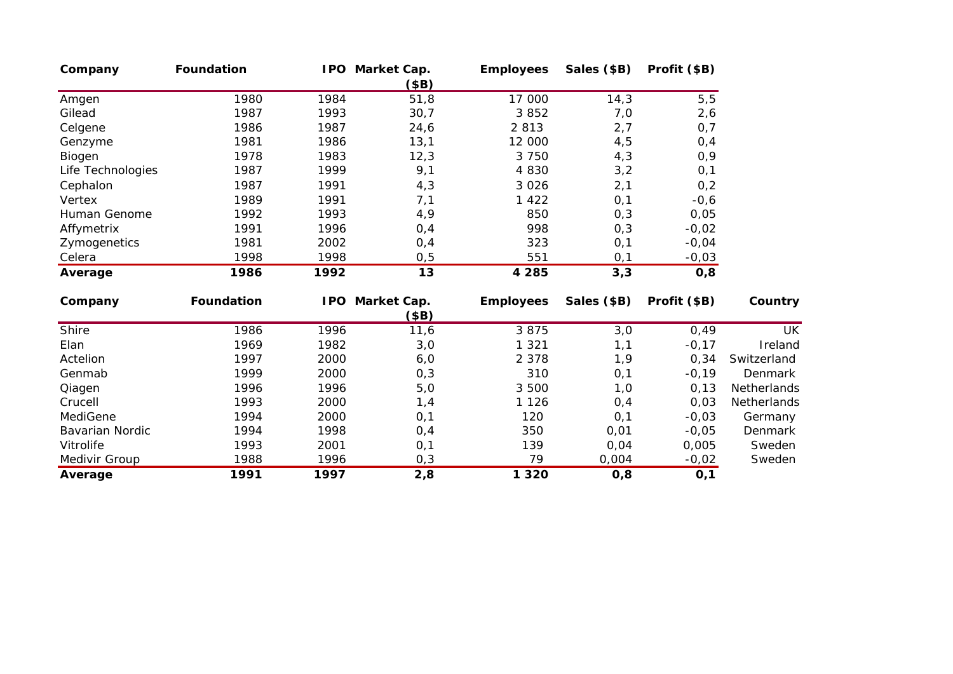| Company           | <b>Foundation</b> |      | IPO Market Cap.<br>(\$B)       | <b>Employees</b> | Sales (\$B) | Profit (\$B) |             |
|-------------------|-------------------|------|--------------------------------|------------------|-------------|--------------|-------------|
| Amgen             | 1980              | 1984 | 51,8                           | 17 000           | 14,3        | 5, 5         |             |
| Gilead            | 1987              | 1993 | 30,7                           | 3852             | 7,0         | 2,6          |             |
| Celgene           | 1986              | 1987 | 24,6                           | 2 8 1 3          | 2,7         | 0,7          |             |
| Genzyme           | 1981              | 1986 | 13,1                           | 12 000           | 4,5         | 0,4          |             |
| Biogen            | 1978              | 1983 | 12,3                           | 3 7 5 0          | 4,3         | 0,9          |             |
| Life Technologies | 1987              | 1999 | 9,1                            | 4 8 3 0          | 3,2         | 0,1          |             |
| Cephalon          | 1987              | 1991 | 4,3                            | 3 0 2 6          | 2,1         | 0,2          |             |
| Vertex            | 1989              | 1991 | 7,1                            | 1 4 2 2          | 0,1         | $-0,6$       |             |
| Human Genome      | 1992              | 1993 | 4,9                            | 850              | 0,3         | 0,05         |             |
| Affymetrix        | 1991              | 1996 | 0,4                            | 998              | 0, 3        | $-0,02$      |             |
| Zymogenetics      | 1981              | 2002 | 0,4                            | 323              | 0,1         | $-0,04$      |             |
| Celera            | 1998              | 1998 | 0, 5                           | 551              | 0,1         | $-0,03$      |             |
| Average           | 1986              | 1992 | 13                             | 4 2 8 5          | 3,3         | 0,8          |             |
| Company           | Foundation        |      | <b>IPO Market Cap.</b><br>\$B) | <b>Employees</b> | Sales (\$B) | Profit (\$B) | Country     |
| Shire             | 1986              | 1996 | 11,6                           | 3875             | 3,0         | 0,49         | <b>UK</b>   |
| Elan              | 1969              | 1982 | 3,0                            | 1 3 2 1          | 1,1         | $-0,17$      | Ireland     |
| Actelion          | 1997              | 2000 | 6,0                            | 2 3 7 8          | 1,9         | 0,34         | Switzerland |
| Genmab            | 1999              | 2000 | 0,3                            | 310              | 0,1         | $-0,19$      | Denmark     |
| Qiagen            | 1996              | 1996 | 5,0                            | 3 500            | 1,0         | 0, 13        | Netherlands |
| Crucell           | 1993              | 2000 | 1,4                            | 1 1 2 6          | 0,4         | 0,03         | Netherlands |
| MediGene          | 1994              | 2000 | 0,1                            | 120              | 0,1         | $-0,03$      | Germany     |
| Bavarian Nordic   | 1994              | 1998 | 0,4                            | 350              | 0,01        | $-0,05$      | Denmark     |
| Vitrolife         | 1993              | 2001 | 0,1                            | 139              | 0,04        | 0,005        | Sweden      |
| Medivir Group     | 1988              | 1996 | 0,3                            | 79               | 0,004       | $-0,02$      | Sweden      |
| Average           | 1991              | 1997 | 2,8                            | 1 3 2 0          | 0,8         | 0,1          |             |